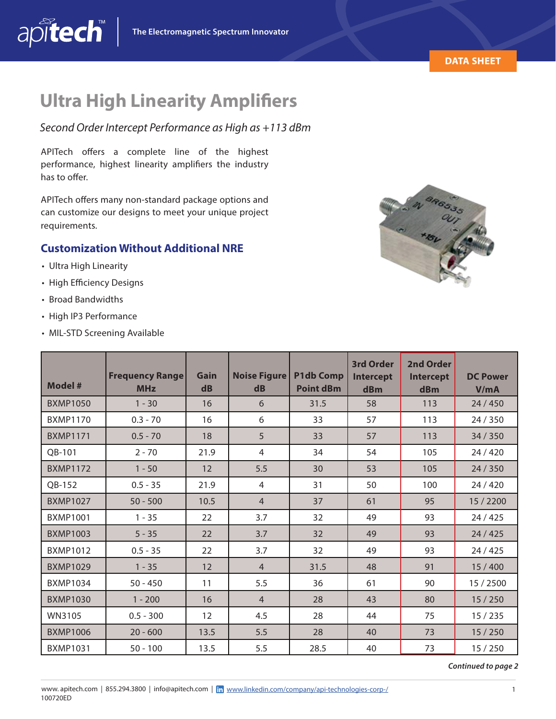

## **Ultra High Linearity Amplifiers**

*Second Order Intercept Performance as High as +113 dBm*

APITech offers a complete line of the highest performance, highest linearity amplifiers the industry has to offer.

APITech offers many non-standard package options and can customize our designs to meet your unique project requirements.

## **Customization Without Additional NRE**

- Ultra High Linearity
- High Efficiency Designs
- Broad Bandwidths
- High IP3 Performance
- MIL-STD Screening Available

| <b>Model #</b>  | <b>Frequency Range</b><br><b>MHz</b> | Gain<br>$\mathbf{dB}$ | Noise Figure<br>$\mathbf{dB}$ | <b>P1db Comp</b><br><b>Point dBm</b> | 3rd Order<br><b>Intercept</b><br>dBm | 2nd Order<br><b>Intercept</b><br>dBm | <b>DC Power</b><br>V/mA |
|-----------------|--------------------------------------|-----------------------|-------------------------------|--------------------------------------|--------------------------------------|--------------------------------------|-------------------------|
| <b>BXMP1050</b> | $1 - 30$                             | 16                    | 6                             | 31.5                                 | 58                                   | 113                                  | 24/450                  |
| <b>BXMP1170</b> | $0.3 - 70$                           | 16                    | 6                             | 33                                   | 57                                   | 113                                  | 24 / 350                |
| <b>BXMP1171</b> | $0.5 - 70$                           | 18                    | 5                             | 33                                   | 57                                   | 113                                  | 34 / 350                |
| QB-101          | $2 - 70$                             | 21.9                  | 4                             | 34                                   | 54                                   | 105                                  | 24 / 420                |
| <b>BXMP1172</b> | $1 - 50$                             | 12                    | 5.5                           | 30                                   | 53                                   | 105                                  | 24/350                  |
| QB-152          | $0.5 - 35$                           | 21.9                  | 4                             | 31                                   | 50                                   | 100                                  | 24/420                  |
| <b>BXMP1027</b> | $50 - 500$                           | 10.5                  | $\overline{4}$                | 37                                   | 61                                   | 95                                   | 15 / 2200               |
| <b>BXMP1001</b> | $1 - 35$                             | 22                    | 3.7                           | 32                                   | 49                                   | 93                                   | 24/425                  |
| <b>BXMP1003</b> | $5 - 35$                             | 22                    | 3.7                           | 32                                   | 49                                   | 93                                   | 24/425                  |
| <b>BXMP1012</b> | $0.5 - 35$                           | 22                    | 3.7                           | 32                                   | 49                                   | 93                                   | 24/425                  |
| <b>BXMP1029</b> | $1 - 35$                             | 12                    | $\overline{4}$                | 31.5                                 | 48                                   | 91                                   | 15/400                  |
| <b>BXMP1034</b> | $50 - 450$                           | 11                    | 5.5                           | 36                                   | 61                                   | 90                                   | 15 / 2500               |
| <b>BXMP1030</b> | $1 - 200$                            | 16                    | $\overline{4}$                | 28                                   | 43                                   | 80                                   | 15/250                  |
| WN3105          | $0.5 - 300$                          | 12                    | 4.5                           | 28                                   | 44                                   | 75                                   | 15/235                  |
| <b>BXMP1006</b> | $20 - 600$                           | 13.5                  | 5.5                           | 28                                   | 40                                   | 73                                   | 15/250                  |
| <b>BXMP1031</b> | $50 - 100$                           | 13.5                  | 5.5                           | 28.5                                 | 40                                   | 73                                   | 15/250                  |

*Continued to page 2*